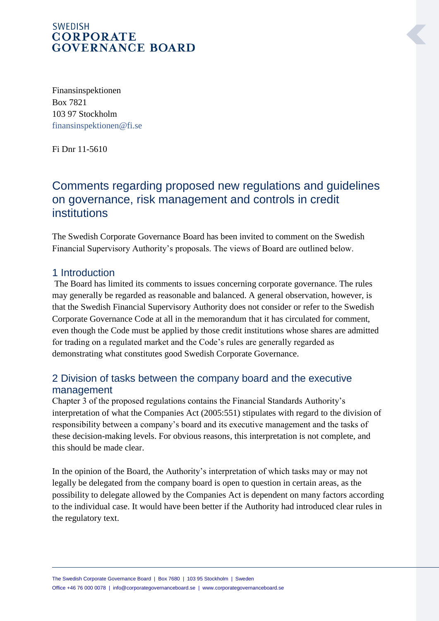## **SWEDISH CORPORATE GOVERNANCE BOARD**

Finansinspektionen Box 7821 103 97 Stockholm [finansinspektionen@fi.se](mailto:finansinspektionen@fi.se)

Fi Dnr 11-5610

# Comments regarding proposed new regulations and guidelines on governance, risk management and controls in credit institutions

The Swedish Corporate Governance Board has been invited to comment on the Swedish Financial Supervisory Authority's proposals. The views of Board are outlined below.

#### 1 Introduction

The Board has limited its comments to issues concerning corporate governance. The rules may generally be regarded as reasonable and balanced. A general observation, however, is that the Swedish Financial Supervisory Authority does not consider or refer to the Swedish Corporate Governance Code at all in the memorandum that it has circulated for comment, even though the Code must be applied by those credit institutions whose shares are admitted for trading on a regulated market and the Code's rules are generally regarded as demonstrating what constitutes good Swedish Corporate Governance.

# 2 Division of tasks between the company board and the executive management

Chapter 3 of the proposed regulations contains the Financial Standards Authority's interpretation of what the Companies Act (2005:551) stipulates with regard to the division of responsibility between a company's board and its executive management and the tasks of these decision-making levels. For obvious reasons, this interpretation is not complete, and this should be made clear.

In the opinion of the Board, the Authority's interpretation of which tasks may or may not legally be delegated from the company board is open to question in certain areas, as the possibility to delegate allowed by the Companies Act is dependent on many factors according to the individual case. It would have been better if the Authority had introduced clear rules in the regulatory text.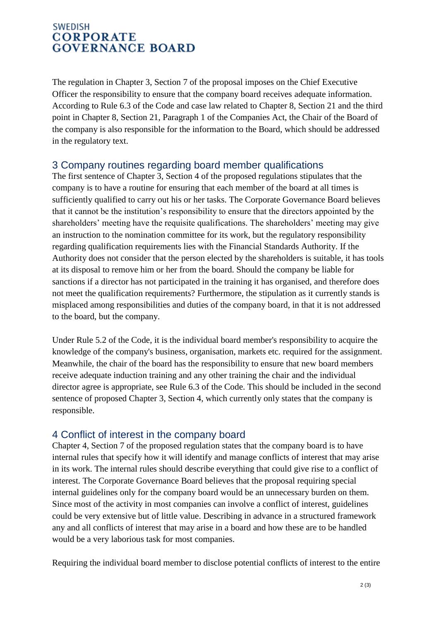## **SWEDISH CORPORATE GOVERNANCE BOARD**

The regulation in Chapter 3, Section 7 of the proposal imposes on the Chief Executive Officer the responsibility to ensure that the company board receives adequate information. According to Rule 6.3 of the Code and case law related to Chapter 8, Section 21 and the third point in Chapter 8, Section 21, Paragraph 1 of the Companies Act, the Chair of the Board of the company is also responsible for the information to the Board, which should be addressed in the regulatory text.

#### 3 Company routines regarding board member qualifications

The first sentence of Chapter 3, Section 4 of the proposed regulations stipulates that the company is to have a routine for ensuring that each member of the board at all times is sufficiently qualified to carry out his or her tasks. The Corporate Governance Board believes that it cannot be the institution's responsibility to ensure that the directors appointed by the shareholders' meeting have the requisite qualifications. The shareholders' meeting may give an instruction to the nomination committee for its work, but the regulatory responsibility regarding qualification requirements lies with the Financial Standards Authority. If the Authority does not consider that the person elected by the shareholders is suitable, it has tools at its disposal to remove him or her from the board. Should the company be liable for sanctions if a director has not participated in the training it has organised, and therefore does not meet the qualification requirements? Furthermore, the stipulation as it currently stands is misplaced among responsibilities and duties of the company board, in that it is not addressed to the board, but the company.

Under Rule 5.2 of the Code, it is the individual board member's responsibility to acquire the knowledge of the company's business, organisation, markets etc. required for the assignment. Meanwhile, the chair of the board has the responsibility to ensure that new board members receive adequate induction training and any other training the chair and the individual director agree is appropriate, see Rule 6.3 of the Code. This should be included in the second sentence of proposed Chapter 3, Section 4, which currently only states that the company is responsible.

# 4 Conflict of interest in the company board

Chapter 4, Section 7 of the proposed regulation states that the company board is to have internal rules that specify how it will identify and manage conflicts of interest that may arise in its work. The internal rules should describe everything that could give rise to a conflict of interest. The Corporate Governance Board believes that the proposal requiring special internal guidelines only for the company board would be an unnecessary burden on them. Since most of the activity in most companies can involve a conflict of interest, guidelines could be very extensive but of little value. Describing in advance in a structured framework any and all conflicts of interest that may arise in a board and how these are to be handled would be a very laborious task for most companies.

Requiring the individual board member to disclose potential conflicts of interest to the entire